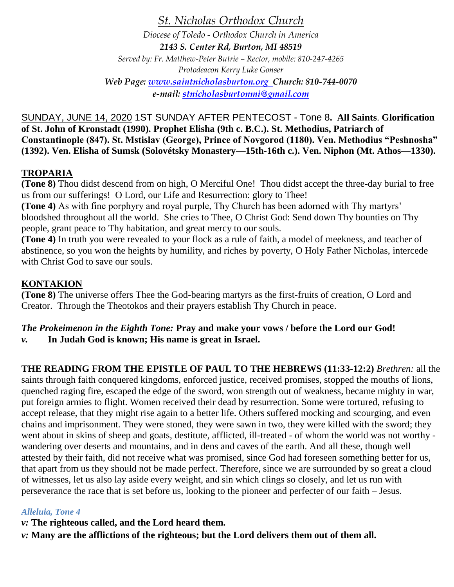*St. Nicholas Orthodox Church*

*Diocese of Toledo - Orthodox Church in America 2143 S. Center Rd, Burton, MI 48519 Served by: Fr. Matthew-Peter Butrie – Rector, mobile: 810-247-4265 Protodeacon Kerry Luke Gonser Web Page: [www.saintnicholasburton.org](http://www.saintnicholasburton.org/) Church: 810-744-0070 e-mail: [stnicholasburtonmi@gmail.com](mailto:stnicholasburtonmi@gmail.com)*

SUNDAY, JUNE 14, 2020 1ST SUNDAY AFTER PENTECOST - Tone 8**. All Saints**. **Glorification of St. John of Kronstadt (1990). Prophet Elisha (9th c. B.C.). St. Methodius, Patriarch of Constantinople (847). St. Mstislav (George), Prince of Novgorod (1180). Ven. Methodius "Peshnosha" (1392). Ven. Elisha of Sumsk (Solovétsky Monastery—15th-16th c.). Ven. Niphon (Mt. Athos—1330).**

# **TROPARIA**

**(Tone 8)** Thou didst descend from on high, O Merciful One! Thou didst accept the three-day burial to free us from our sufferings! O Lord, our Life and Resurrection: glory to Thee!

**(Tone 4)** As with fine porphyry and royal purple, Thy Church has been adorned with Thy martyrs' bloodshed throughout all the world. She cries to Thee, O Christ God: Send down Thy bounties on Thy people, grant peace to Thy habitation, and great mercy to our souls.

**(Tone 4)** In truth you were revealed to your flock as a rule of faith, a model of meekness, and teacher of abstinence, so you won the heights by humility, and riches by poverty, O Holy Father Nicholas, intercede with Christ God to save our souls.

# **KONTAKION**

**(Tone 8)** The universe offers Thee the God-bearing martyrs as the first-fruits of creation, O Lord and Creator. Through the Theotokos and their prayers establish Thy Church in peace.

#### *The Prokeimenon in the Eighth Tone:* **Pray and make your vows / before the Lord our God!** *v.* **In Judah God is known; His name is great in Israel.**

**THE READING FROM THE EPISTLE OF PAUL TO THE HEBREWS (11:33-12:2)** *Brethren:* all the

saints through faith conquered kingdoms, enforced justice, received promises, stopped the mouths of lions, quenched raging fire, escaped the edge of the sword, won strength out of weakness, became mighty in war, put foreign armies to flight. Women received their dead by resurrection. Some were tortured, refusing to accept release, that they might rise again to a better life. Others suffered mocking and scourging, and even chains and imprisonment. They were stoned, they were sawn in two, they were killed with the sword; they went about in skins of sheep and goats, destitute, afflicted, ill-treated - of whom the world was not worthy wandering over deserts and mountains, and in dens and caves of the earth. And all these, though well attested by their faith, did not receive what was promised, since God had foreseen something better for us, that apart from us they should not be made perfect. Therefore, since we are surrounded by so great a cloud of witnesses, let us also lay aside every weight, and sin which clings so closely, and let us run with perseverance the race that is set before us, looking to the pioneer and perfecter of our faith – Jesus.

# *Alleluia, Tone 4*

*v:* **The righteous called, and the Lord heard them.**

*v:* **Many are the afflictions of the righteous; but the Lord delivers them out of them all.**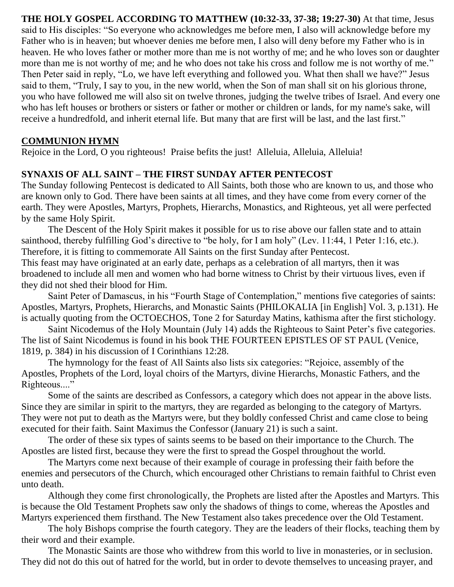**THE HOLY GOSPEL ACCORDING TO MATTHEW (10:32-33, 37-38; 19:27-30)** At that time, Jesus said to His disciples: "So everyone who acknowledges me before men, I also will acknowledge before my Father who is in heaven; but whoever denies me before men, I also will deny before my Father who is in heaven. He who loves father or mother more than me is not worthy of me; and he who loves son or daughter more than me is not worthy of me; and he who does not take his cross and follow me is not worthy of me." Then Peter said in reply, "Lo, we have left everything and followed you. What then shall we have?" Jesus said to them, "Truly, I say to you, in the new world, when the Son of man shall sit on his glorious throne, you who have followed me will also sit on twelve thrones, judging the twelve tribes of Israel. And every one who has left houses or brothers or sisters or father or mother or children or lands, for my name's sake, will receive a hundredfold, and inherit eternal life. But many that are first will be last, and the last first."

# **COMMUNION HYMN**

Rejoice in the Lord, O you righteous! Praise befits the just! Alleluia, Alleluia, Alleluia!

# **SYNAXIS OF ALL SAINT – THE FIRST SUNDAY AFTER PENTECOST**

The Sunday following Pentecost is dedicated to All Saints, both those who are known to us, and those who are known only to God. There have been saints at all times, and they have come from every corner of the earth. They were Apostles, Martyrs, Prophets, Hierarchs, Monastics, and Righteous, yet all were perfected by the same Holy Spirit.

The Descent of the Holy Spirit makes it possible for us to rise above our fallen state and to attain sainthood, thereby fulfilling God's directive to "be holy, for I am holy" (Lev. 11:44, 1 Peter 1:16, etc.). Therefore, it is fitting to commemorate All Saints on the first Sunday after Pentecost.

This feast may have originated at an early date, perhaps as a celebration of all martyrs, then it was broadened to include all men and women who had borne witness to Christ by their virtuous lives, even if they did not shed their blood for Him.

Saint Peter of Damascus, in his "Fourth Stage of Contemplation," mentions five categories of saints: Apostles, Martyrs, Prophets, Hierarchs, and Monastic Saints (PHILOKALIA [in English] Vol. 3, p.131). He is actually quoting from the OCTOECHOS, Tone 2 for Saturday Matins, kathisma after the first stichology.

Saint Nicodemus of the Holy Mountain (July 14) adds the Righteous to Saint Peter's five categories. The list of Saint Nicodemus is found in his book THE FOURTEEN EPISTLES OF ST PAUL (Venice, 1819, p. 384) in his discussion of I Corinthians 12:28.

The hymnology for the feast of All Saints also lists six categories: "Rejoice, assembly of the Apostles, Prophets of the Lord, loyal choirs of the Martyrs, divine Hierarchs, Monastic Fathers, and the Righteous...."

Some of the saints are described as Confessors, a category which does not appear in the above lists. Since they are similar in spirit to the martyrs, they are regarded as belonging to the category of Martyrs. They were not put to death as the Martyrs were, but they boldly confessed Christ and came close to being executed for their faith. Saint Maximus the Confessor (January 21) is such a saint.

The order of these six types of saints seems to be based on their importance to the Church. The Apostles are listed first, because they were the first to spread the Gospel throughout the world.

The Martyrs come next because of their example of courage in professing their faith before the enemies and persecutors of the Church, which encouraged other Christians to remain faithful to Christ even unto death.

Although they come first chronologically, the Prophets are listed after the Apostles and Martyrs. This is because the Old Testament Prophets saw only the shadows of things to come, whereas the Apostles and Martyrs experienced them firsthand. The New Testament also takes precedence over the Old Testament.

The holy Bishops comprise the fourth category. They are the leaders of their flocks, teaching them by their word and their example.

The Monastic Saints are those who withdrew from this world to live in monasteries, or in seclusion. They did not do this out of hatred for the world, but in order to devote themselves to unceasing prayer, and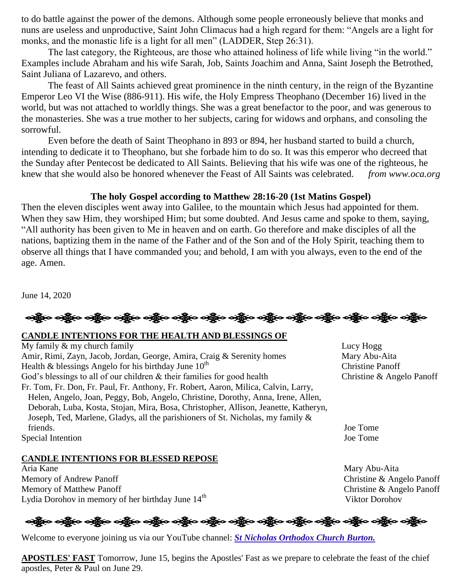to do battle against the power of the demons. Although some people erroneously believe that monks and nuns are useless and unproductive, Saint John Climacus had a high regard for them: "Angels are a light for monks, and the monastic life is a light for all men" (LADDER, Step 26:31).

The last category, the Righteous, are those who attained holiness of life while living "in the world." Examples include Abraham and his wife Sarah, Job, Saints Joachim and Anna, Saint Joseph the Betrothed, Saint Juliana of Lazarevo, and others.

The feast of All Saints achieved great prominence in the ninth century, in the reign of the Byzantine Emperor Leo VI the Wise (886-911). His wife, the Holy Empress Theophano (December 16) lived in the world, but was not attached to worldly things. She was a great benefactor to the poor, and was generous to the monasteries. She was a true mother to her subjects, caring for widows and orphans, and consoling the sorrowful.

Even before the death of Saint Theophano in 893 or 894, her husband started to build a church, intending to dedicate it to Theophano, but she forbade him to do so. It was this emperor who decreed that the Sunday after Pentecost be dedicated to All Saints. Believing that his wife was one of the righteous, he knew that she would also be honored whenever the Feast of All Saints was celebrated. *from www.oca.org*

## **The holy Gospel according to Matthew 28:16-20 (1st Matins Gospel)**

Then the eleven disciples went away into Galilee, to the mountain which Jesus had appointed for them. When they saw Him, they worshiped Him; but some doubted. And Jesus came and spoke to them, saying, "All authority has been given to Me in heaven and on earth. Go therefore and make disciples of all the nations, baptizing them in the name of the Father and of the Son and of the Holy Spirit, teaching them to observe all things that I have commanded you; and behold, I am with you always, even to the end of the age. Amen.

June 14, 2020

#### **CANDLE INTENTIONS FOR THE HEALTH AND BLESSINGS OF**

My family & my church family Lucy Hogg Amir, Rimi, Zayn, Jacob, Jordan, George, Amira, Craig & Serenity homes Mary Abu-Aita Health & blessings Angelo for his birthday June  $10^{th}$ God's blessings to all of our children & their families for good health Christine & Angelo Panoff Fr. Tom, Fr. Don, Fr. Paul, Fr. Anthony, Fr. Robert, Aaron, Milica, Calvin, Larry, Helen, Angelo, Joan, Peggy, Bob, Angelo, Christine, Dorothy, Anna, Irene, Allen, Deborah, Luba, Kosta, Stojan, Mira, Bosa, Christopher, Allison, Jeanette, Katheryn, Joseph, Ted, Marlene, Gladys, all the parishioners of St. Nicholas, my family & friends. Joe Tome Special Intention Joe Tome

### **CANDLE INTENTIONS FOR BLESSED REPOSE**

Aria Kane Mary Abu-Aita Memory of Andrew Panoff Christine & Angelo Panoff Memory of Matthew Panoff Christine & Angelo Panoff Lydia Dorohov in memory of her birthday June  $14<sup>th</sup>$  Viktor Dorohov

Christine Panoff

**ေးရွိေ ခရွိေ ခရွိေ ရရွိေ ရရွိေ ရရွိေ ရရွိေ ရရွိေ ရရွိေ ရရွိေ ရရွိေ** 

Welcome to everyone joining us via our YouTube channel: *[St Nicholas Orthodox Church Burton.](https://www.youtube.com/channel/UC59tV-Re443z-GCoETAUvfA)* 

**APOSTLES' FAST** Tomorrow, June 15, begins the Apostles' Fast as we prepare to celebrate the feast of the chief apostles, Peter & Paul on June 29.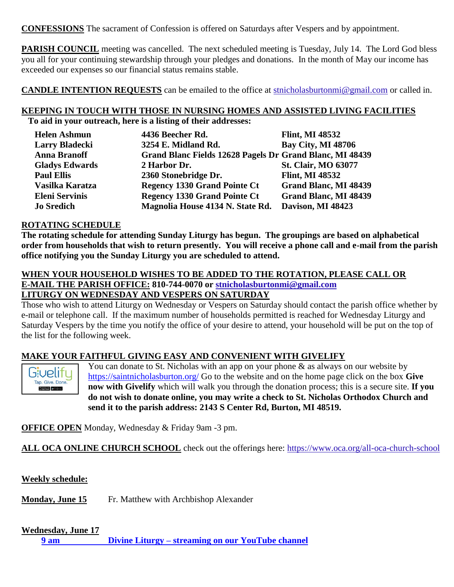**CONFESSIONS** The sacrament of Confession is offered on Saturdays after Vespers and by appointment.

**PARISH COUNCIL** meeting was cancelled. The next scheduled meeting is Tuesday, July 14. The Lord God bless you all for your continuing stewardship through your pledges and donations. In the month of May our income has exceeded our expenses so our financial status remains stable.

**CANDLE INTENTION REQUESTS** can be emailed to the office at [stnicholasburtonmi@gmail.com](mailto:stnicholasburtonmi@gmail.com) or called in.

#### **KEEPING IN TOUCH WITH THOSE IN NURSING HOMES AND ASSISTED LIVING FACILITIES To aid in your outreach, here is a listing of their addresses:**

| <b>Helen Ashmun</b>   | 4436 Beecher Rd.                                         | <b>Flint, MI 48532</b>     |
|-----------------------|----------------------------------------------------------|----------------------------|
| <b>Larry Bladecki</b> | 3254 E. Midland Rd.                                      | <b>Bay City, MI 48706</b>  |
| <b>Anna Branoff</b>   | Grand Blanc Fields 12628 Pagels Dr Grand Blanc, MI 48439 |                            |
| <b>Gladys Edwards</b> | 2 Harbor Dr.                                             | <b>St. Clair, MO 63077</b> |
| <b>Paul Ellis</b>     | 2360 Stonebridge Dr.                                     | <b>Flint, MI 48532</b>     |
| Vasilka Karatza       | <b>Regency 1330 Grand Pointe Ct</b>                      | Grand Blanc, MI 48439      |
| <b>Eleni Servinis</b> | <b>Regency 1330 Grand Pointe Ct</b>                      | Grand Blanc, MI 48439      |
| <b>Jo Sredich</b>     | Magnolia House 4134 N. State Rd.                         | Davison, MI 48423          |

#### **ROTATING SCHEDULE**

**The rotating schedule for attending Sunday Liturgy has begun. The groupings are based on alphabetical order from households that wish to return presently. You will receive a phone call and e-mail from the parish office notifying you the Sunday Liturgy you are scheduled to attend.** 

#### **WHEN YOUR HOUSEHOLD WISHES TO BE ADDED TO THE ROTATION, PLEASE CALL OR E-MAIL THE PARISH OFFICE: 810-744-0070 or [stnicholasburtonmi@gmail.com](mailto:stnicholasburtonmi@gmail.com) LITURGY ON WEDNESDAY AND VESPERS ON SATURDAY**

Those who wish to attend Liturgy on Wednesday or Vespers on Saturday should contact the parish office whether by e-mail or telephone call. If the maximum number of households permitted is reached for Wednesday Liturgy and Saturday Vespers by the time you notify the office of your desire to attend, your household will be put on the top of the list for the following week.

### **MAKE YOUR FAITHFUL GIVING EASY AND CONVENIENT WITH GIVELIFY**



You can donate to St. Nicholas with an app on your phone  $\&$  as always on our website by <https://saintnicholasburton.org/> Go to the website and on the home page click on the box **Give now with Givelify** which will walk you through the donation process; this is a secure site. **If you do not wish to donate online, you may write a check to St. Nicholas Orthodox Church and send it to the parish address: 2143 S Center Rd, Burton, MI 48519.**

**OFFICE OPEN** Monday, Wednesday & Friday 9am -3 pm.

**ALL OCA ONLINE CHURCH SCHOOL** check out the offerings here:<https://www.oca.org/all-oca-church-school>

**Weekly schedule:**

**Monday, June 15** Fr. Matthew with Archbishop Alexander

#### **Wednesday, June 17**

**9 am Divine Liturgy – [streaming on our YouTube channel](https://www.youtube.com/watch?v=JwUkni731ug)**